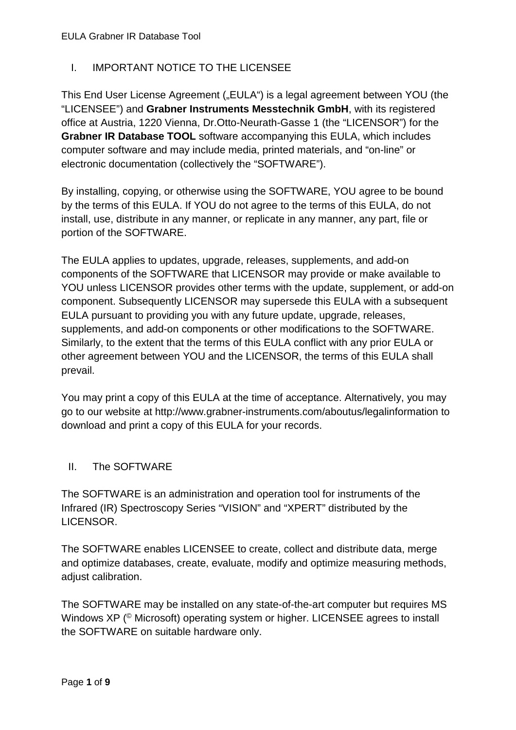# I. IMPORTANT NOTICE TO THE LICENSEE

This End User License Agreement ("EULA") is a legal agreement between YOU (the "LICENSEE") and **Grabner Instruments Messtechnik GmbH**, with its registered office at Austria, 1220 Vienna, Dr.Otto-Neurath-Gasse 1 (the "LICENSOR") for the **Grabner IR Database TOOL** software accompanying this EULA, which includes computer software and may include media, printed materials, and "on-line" or electronic documentation (collectively the "SOFTWARE").

By installing, copying, or otherwise using the SOFTWARE, YOU agree to be bound by the terms of this EULA. If YOU do not agree to the terms of this EULA, do not install, use, distribute in any manner, or replicate in any manner, any part, file or portion of the SOFTWARE.

The EULA applies to updates, upgrade, releases, supplements, and add-on components of the SOFTWARE that LICENSOR may provide or make available to YOU unless LICENSOR provides other terms with the update, supplement, or add-on component. Subsequently LICENSOR may supersede this EULA with a subsequent EULA pursuant to providing you with any future update, upgrade, releases, supplements, and add-on components or other modifications to the SOFTWARE. Similarly, to the extent that the terms of this EULA conflict with any prior EULA or other agreement between YOU and the LICENSOR, the terms of this EULA shall prevail.

You may print a copy of this EULA at the time of acceptance. Alternatively, you may go to our website at<http://www.grabner-instruments.com/aboutus/legalinformation> to download and print a copy of this EULA for your records.

### II. The SOFTWARE

The SOFTWARE is an administration and operation tool for instruments of the Infrared (IR) Spectroscopy Series "VISION" and "XPERT" distributed by the LICENSOR.

The SOFTWARE enables LICENSEE to create, collect and distribute data, merge and optimize databases, create, evaluate, modify and optimize measuring methods, adjust calibration.

The SOFTWARE may be installed on any state-of-the-art computer but requires MS Windows XP (<sup>©</sup> Microsoft) operating system or higher. LICENSEE agrees to install the SOFTWARE on suitable hardware only.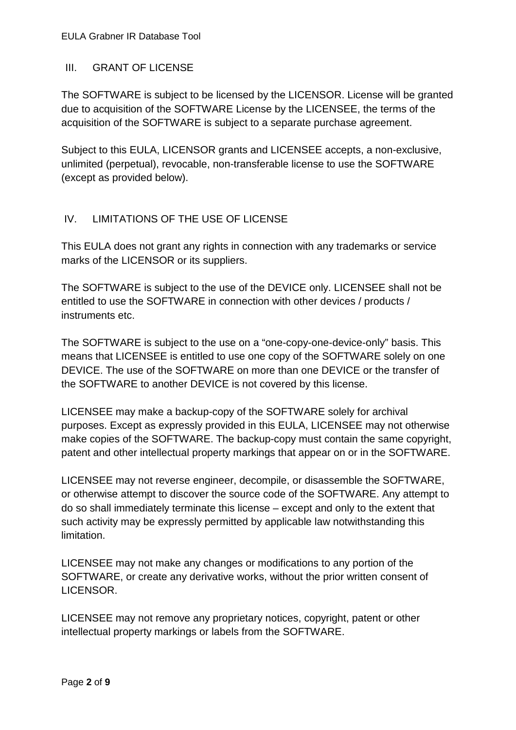### III. GRANT OF LICENSE

The SOFTWARE is subject to be licensed by the LICENSOR. License will be granted due to acquisition of the SOFTWARE License by the LICENSEE, the terms of the acquisition of the SOFTWARE is subject to a separate purchase agreement.

Subject to this EULA, LICENSOR grants and LICENSEE accepts, a non-exclusive, unlimited (perpetual), revocable, non-transferable license to use the SOFTWARE (except as provided below).

# IV. LIMITATIONS OF THE USE OF LICENSE

This EULA does not grant any rights in connection with any trademarks or service marks of the LICENSOR or its suppliers.

The SOFTWARE is subject to the use of the DEVICE only. LICENSEE shall not be entitled to use the SOFTWARE in connection with other devices / products / instruments etc.

The SOFTWARE is subject to the use on a "one-copy-one-device-only" basis. This means that LICENSEE is entitled to use one copy of the SOFTWARE solely on one DEVICE. The use of the SOFTWARE on more than one DEVICE or the transfer of the SOFTWARE to another DEVICE is not covered by this license.

LICENSEE may make a backup-copy of the SOFTWARE solely for archival purposes. Except as expressly provided in this EULA, LICENSEE may not otherwise make copies of the SOFTWARE. The backup-copy must contain the same copyright, patent and other intellectual property markings that appear on or in the SOFTWARE.

LICENSEE may not reverse engineer, decompile, or disassemble the SOFTWARE, or otherwise attempt to discover the source code of the SOFTWARE. Any attempt to do so shall immediately terminate this license – except and only to the extent that such activity may be expressly permitted by applicable law notwithstanding this limitation.

LICENSEE may not make any changes or modifications to any portion of the SOFTWARE, or create any derivative works, without the prior written consent of LICENSOR.

LICENSEE may not remove any proprietary notices, copyright, patent or other intellectual property markings or labels from the SOFTWARE.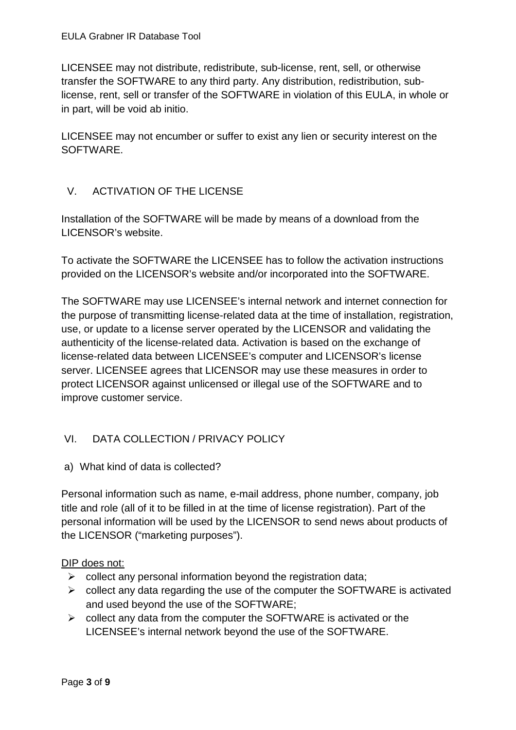LICENSEE may not distribute, redistribute, sub-license, rent, sell, or otherwise transfer the SOFTWARE to any third party. Any distribution, redistribution, sublicense, rent, sell or transfer of the SOFTWARE in violation of this EULA, in whole or in part, will be void ab initio.

LICENSEE may not encumber or suffer to exist any lien or security interest on the SOFTWARE.

### V. ACTIVATION OF THE LICENSE

Installation of the SOFTWARE will be made by means of a download from the LICENSOR's website.

To activate the SOFTWARE the LICENSEE has to follow the activation instructions provided on the LICENSOR's website and/or incorporated into the SOFTWARE.

The SOFTWARE may use LICENSEE's internal network and internet connection for the purpose of transmitting license-related data at the time of installation, registration, use, or update to a license server operated by the LICENSOR and validating the authenticity of the license-related data. Activation is based on the exchange of license-related data between LICENSEE's computer and LICENSOR's license server. LICENSEE agrees that LICENSOR may use these measures in order to protect LICENSOR against unlicensed or illegal use of the SOFTWARE and to improve customer service.

# VI. DATA COLLECTION / PRIVACY POLICY

a) What kind of data is collected?

Personal information such as name, e-mail address, phone number, company, job title and role (all of it to be filled in at the time of license registration). Part of the personal information will be used by the LICENSOR to send news about products of the LICENSOR ("marketing purposes").

#### DIP does not:

- $\triangleright$  collect any personal information beyond the registration data;
- $\triangleright$  collect any data regarding the use of the computer the SOFTWARE is activated and used beyond the use of the SOFTWARE;
- $\triangleright$  collect any data from the computer the SOFTWARE is activated or the LICENSEE's internal network beyond the use of the SOFTWARE.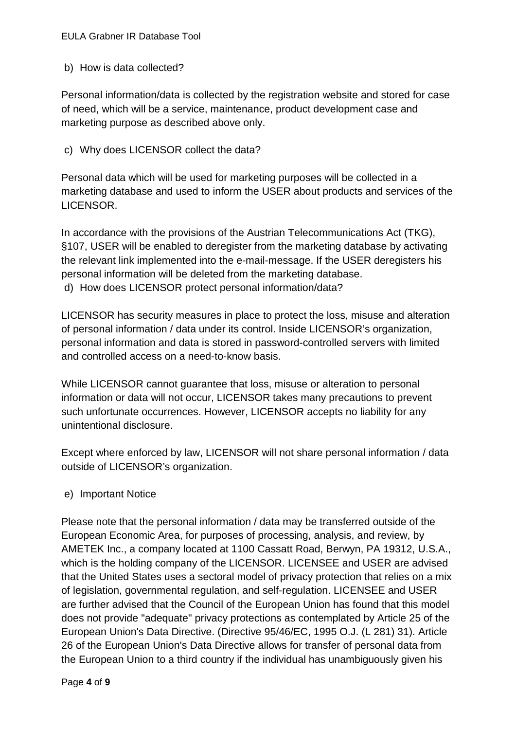#### EULA Grabner IR Database Tool

b) How is data collected?

Personal information/data is collected by the registration website and stored for case of need, which will be a service, maintenance, product development case and marketing purpose as described above only.

#### c) Why does LICENSOR collect the data?

Personal data which will be used for marketing purposes will be collected in a marketing database and used to inform the USER about products and services of the LICENSOR.

In accordance with the provisions of the Austrian Telecommunications Act (TKG), §107, USER will be enabled to deregister from the marketing database by activating the relevant link implemented into the e-mail-message. If the USER deregisters his personal information will be deleted from the marketing database. d) How does LICENSOR protect personal information/data?

LICENSOR has security measures in place to protect the loss, misuse and alteration of personal information / data under its control. Inside LICENSOR's organization, personal information and data is stored in password-controlled servers with limited and controlled access on a need-to-know basis.

While LICENSOR cannot guarantee that loss, misuse or alteration to personal information or data will not occur, LICENSOR takes many precautions to prevent such unfortunate occurrences. However, LICENSOR accepts no liability for any unintentional disclosure.

Except where enforced by law, LICENSOR will not share personal information / data outside of LICENSOR's organization.

#### e) Important Notice

Please note that the personal information / data may be transferred outside of the European Economic Area, for purposes of processing, analysis, and review, by AMETEK Inc., a company located at 1100 Cassatt Road, Berwyn, PA 19312, U.S.A., which is the holding company of the LICENSOR. LICENSEE and USER are advised that the United States uses a sectoral model of privacy protection that relies on a mix of legislation, governmental regulation, and self-regulation. LICENSEE and USER are further advised that the Council of the European Union has found that this model does not provide "adequate" privacy protections as contemplated by Article 25 of the European Union's Data Directive. (Directive 95/46/EC, 1995 O.J. (L 281) 31). Article 26 of the European Union's Data Directive allows for transfer of personal data from the European Union to a third country if the individual has unambiguously given his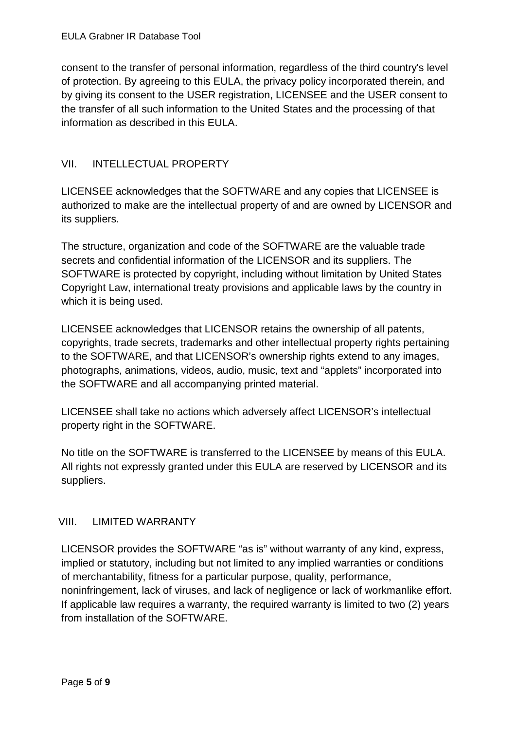consent to the transfer of personal information, regardless of the third country's level of protection. By agreeing to this EULA, the privacy policy incorporated therein, and by giving its consent to the USER registration, LICENSEE and the USER consent to the transfer of all such information to the United States and the processing of that information as described in this EULA.

### VII. INTELLECTUAL PROPERTY

LICENSEE acknowledges that the SOFTWARE and any copies that LICENSEE is authorized to make are the intellectual property of and are owned by LICENSOR and its suppliers.

The structure, organization and code of the SOFTWARE are the valuable trade secrets and confidential information of the LICENSOR and its suppliers. The SOFTWARE is protected by copyright, including without limitation by United States Copyright Law, international treaty provisions and applicable laws by the country in which it is being used.

LICENSEE acknowledges that LICENSOR retains the ownership of all patents, copyrights, trade secrets, trademarks and other intellectual property rights pertaining to the SOFTWARE, and that LICENSOR's ownership rights extend to any images, photographs, animations, videos, audio, music, text and "applets" incorporated into the SOFTWARE and all accompanying printed material.

LICENSEE shall take no actions which adversely affect LICENSOR's intellectual property right in the SOFTWARE.

No title on the SOFTWARE is transferred to the LICENSEE by means of this EULA. All rights not expressly granted under this EULA are reserved by LICENSOR and its suppliers.

### VIII. LIMITED WARRANTY

LICENSOR provides the SOFTWARE "as is" without warranty of any kind, express, implied or statutory, including but not limited to any implied warranties or conditions of merchantability, fitness for a particular purpose, quality, performance, noninfringement, lack of viruses, and lack of negligence or lack of workmanlike effort. If applicable law requires a warranty, the required warranty is limited to two (2) years from installation of the SOFTWARE.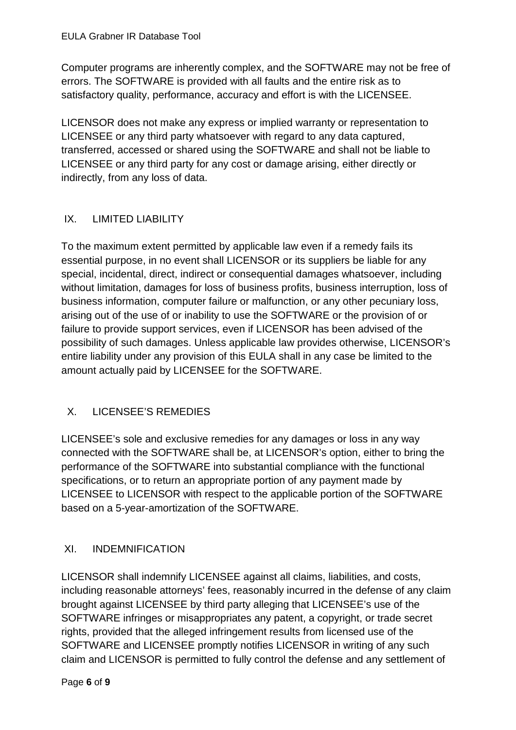Computer programs are inherently complex, and the SOFTWARE may not be free of errors. The SOFTWARE is provided with all faults and the entire risk as to satisfactory quality, performance, accuracy and effort is with the LICENSEE.

LICENSOR does not make any express or implied warranty or representation to LICENSEE or any third party whatsoever with regard to any data captured, transferred, accessed or shared using the SOFTWARE and shall not be liable to LICENSEE or any third party for any cost or damage arising, either directly or indirectly, from any loss of data.

# IX. LIMITED LIABILITY

To the maximum extent permitted by applicable law even if a remedy fails its essential purpose, in no event shall LICENSOR or its suppliers be liable for any special, incidental, direct, indirect or consequential damages whatsoever, including without limitation, damages for loss of business profits, business interruption, loss of business information, computer failure or malfunction, or any other pecuniary loss, arising out of the use of or inability to use the SOFTWARE or the provision of or failure to provide support services, even if LICENSOR has been advised of the possibility of such damages. Unless applicable law provides otherwise, LICENSOR's entire liability under any provision of this EULA shall in any case be limited to the amount actually paid by LICENSEE for the SOFTWARE.

# X. LICENSEE'S REMEDIES

LICENSEE's sole and exclusive remedies for any damages or loss in any way connected with the SOFTWARE shall be, at LICENSOR's option, either to bring the performance of the SOFTWARE into substantial compliance with the functional specifications, or to return an appropriate portion of any payment made by LICENSEE to LICENSOR with respect to the applicable portion of the SOFTWARE based on a 5-year-amortization of the SOFTWARE.

### XI. INDEMNIFICATION

LICENSOR shall indemnify LICENSEE against all claims, liabilities, and costs, including reasonable attorneys' fees, reasonably incurred in the defense of any claim brought against LICENSEE by third party alleging that LICENSEE's use of the SOFTWARE infringes or misappropriates any patent, a copyright, or trade secret rights, provided that the alleged infringement results from licensed use of the SOFTWARE and LICENSEE promptly notifies LICENSOR in writing of any such claim and LICENSOR is permitted to fully control the defense and any settlement of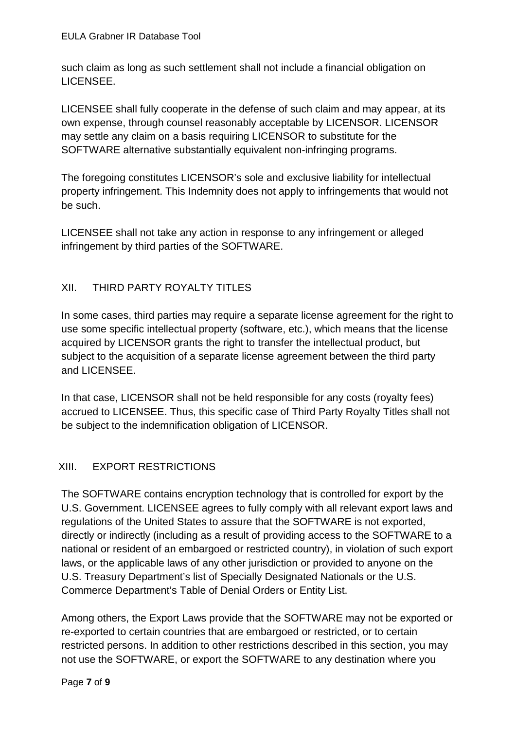such claim as long as such settlement shall not include a financial obligation on LICENSEE.

LICENSEE shall fully cooperate in the defense of such claim and may appear, at its own expense, through counsel reasonably acceptable by LICENSOR. LICENSOR may settle any claim on a basis requiring LICENSOR to substitute for the SOFTWARE alternative substantially equivalent non-infringing programs.

The foregoing constitutes LICENSOR's sole and exclusive liability for intellectual property infringement. This Indemnity does not apply to infringements that would not be such.

LICENSEE shall not take any action in response to any infringement or alleged infringement by third parties of the SOFTWARE.

# XII. THIRD PARTY ROYALTY TITLES

In some cases, third parties may require a separate license agreement for the right to use some specific intellectual property (software, etc.), which means that the license acquired by LICENSOR grants the right to transfer the intellectual product, but subject to the acquisition of a separate license agreement between the third party and LICENSEE.

In that case, LICENSOR shall not be held responsible for any costs (royalty fees) accrued to LICENSEE. Thus, this specific case of Third Party Royalty Titles shall not be subject to the indemnification obligation of LICENSOR.

# XIII. EXPORT RESTRICTIONS

The SOFTWARE contains encryption technology that is controlled for export by the U.S. Government. LICENSEE agrees to fully comply with all relevant export laws and regulations of the United States to assure that the SOFTWARE is not exported, directly or indirectly (including as a result of providing access to the SOFTWARE to a national or resident of an embargoed or restricted country), in violation of such export laws, or the applicable laws of any other jurisdiction or provided to anyone on the U.S. Treasury Department's list of Specially Designated Nationals or the U.S. Commerce Department's Table of Denial Orders or Entity List.

Among others, the Export Laws provide that the SOFTWARE may not be exported or re-exported to certain countries that are embargoed or restricted, or to certain restricted persons. In addition to other restrictions described in this section, you may not use the SOFTWARE, or export the SOFTWARE to any destination where you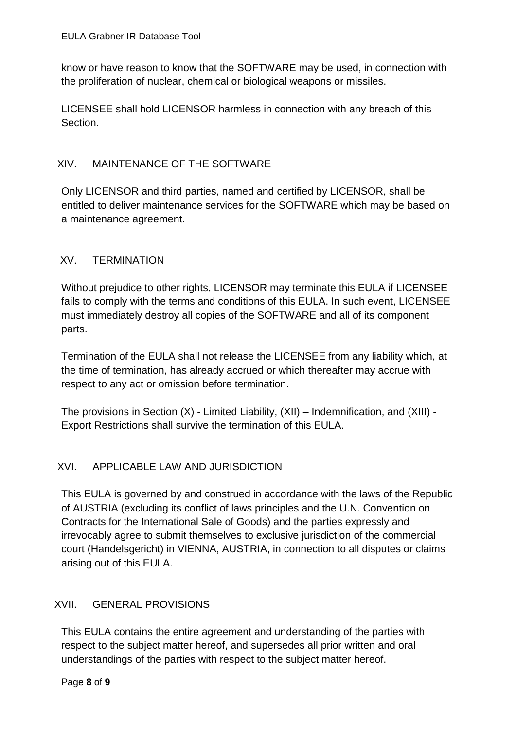know or have reason to know that the SOFTWARE may be used, in connection with the proliferation of nuclear, chemical or biological weapons or missiles.

LICENSEE shall hold LICENSOR harmless in connection with any breach of this Section.

### XIV. MAINTENANCE OF THE SOFTWARE

Only LICENSOR and third parties, named and certified by LICENSOR, shall be entitled to deliver maintenance services for the SOFTWARE which may be based on a maintenance agreement.

### XV. TERMINATION

Without prejudice to other rights, LICENSOR may terminate this EULA if LICENSEE fails to comply with the terms and conditions of this EULA. In such event, LICENSEE must immediately destroy all copies of the SOFTWARE and all of its component parts.

Termination of the EULA shall not release the LICENSEE from any liability which, at the time of termination, has already accrued or which thereafter may accrue with respect to any act or omission before termination.

The provisions in Section (X) - Limited Liability, (XII) – Indemnification, and (XIII) - Export Restrictions shall survive the termination of this EULA.

# XVI. APPLICABLE LAW AND JURISDICTION

This EULA is governed by and construed in accordance with the laws of the Republic of AUSTRIA (excluding its conflict of laws principles and the U.N. Convention on Contracts for the International Sale of Goods) and the parties expressly and irrevocably agree to submit themselves to exclusive jurisdiction of the commercial court (Handelsgericht) in VIENNA, AUSTRIA, in connection to all disputes or claims arising out of this EULA.

### XVII. GENERAL PROVISIONS

This EULA contains the entire agreement and understanding of the parties with respect to the subject matter hereof, and supersedes all prior written and oral understandings of the parties with respect to the subject matter hereof.